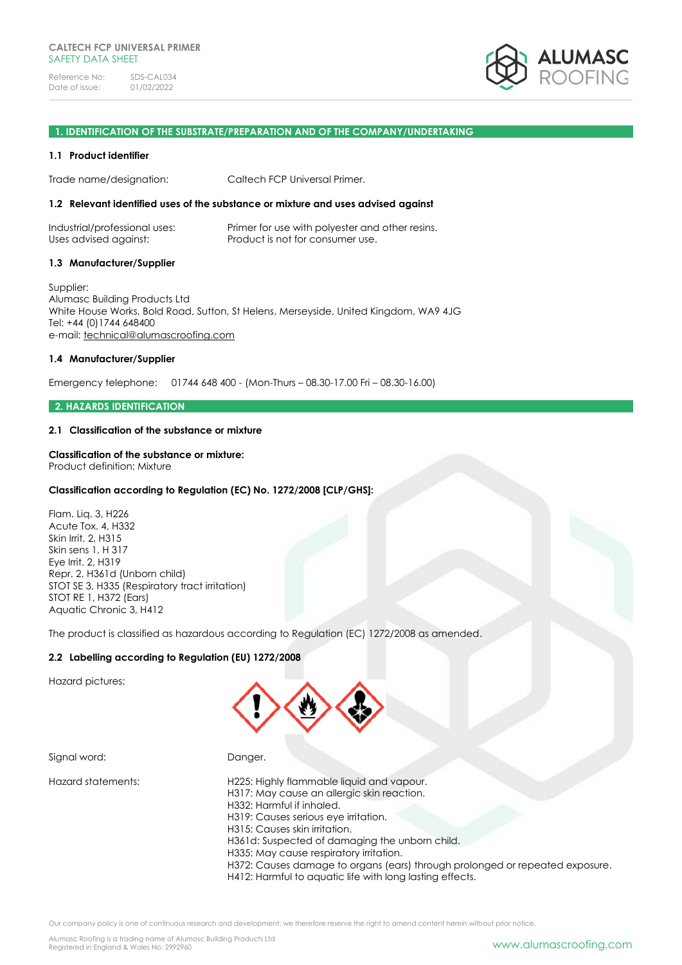

#### **1. IDENTIFICATION OF THE SUBSTRATE/PREPARATION AND OF THE COMPANY/UNDERTAKING**

### **1.1 Product identifier**

Trade name/designation: Caltech FCP Universal Primer.

## **1.2 Relevant identified uses of the substance or mixture and uses advised against**

| Industrial/professional uses: | Primer for use with polyester and other resins. |
|-------------------------------|-------------------------------------------------|
| Uses advised against:         | Product is not for consumer use.                |

### **1.3 Manufacturer/Supplier**

Supplier: Alumasc Building Products Ltd White House Works, Bold Road, Sutton, St Helens, Merseyside, United Kingdom, WA9 4JG Tel: +44 (0)1744 648400 e-mail: [technical@alumascroofing.com](mailto:technical@alumascroofing.com)

## **1.4 Manufacturer/Supplier**

Emergency telephone: 01744 648 400 - (Mon-Thurs – 08.30-17.00 Fri – 08.30-16.00)

## **2. HAZARDS IDENTIFICATION**

## **2.1 Classification of the substance or mixture**

### **Classification of the substance or mixture:**

Product definition: Mixture

# **Classification according to Regulation (EC) No. 1272/2008 [CLP/GHS]:**

Flam. Liq. 3, H226 Acute Tox. 4, H332 Skin Irrit. 2, H315 Skin sens 1, H 317 Eye Irrit. 2, H319 Repr. 2, H361d (Unborn child) STOT SE 3, H335 (Respiratory tract irritation) STOT RE 1, H372 (Ears) Aquatic Chronic 3, H412

The product is classified as hazardous according to Regulation (EC) 1272/2008 as amended.

# **2.2 Labelling according to Regulation (EU) 1272/2008**

Hazard pictures:



Signal word: Danger.

Hazard statements: H225: Highly flammable liquid and vapour. H317: May cause an allergic skin reaction. H332: Harmful if inhaled. H319: Causes serious eye irritation. H315: Causes skin irritation. H361d: Suspected of damaging the unborn child. H335: May cause respiratory irritation. H372: Causes damage to organs (ears) through prolonged or repeated exposure. H412: Harmful to aquatic life with long lasting effects.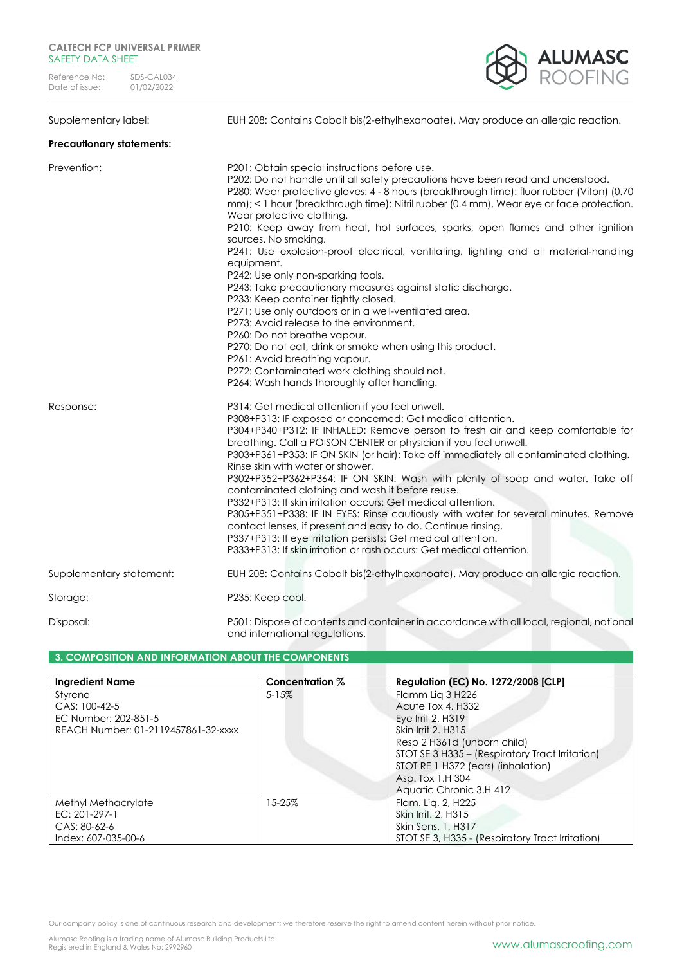

Supplementary label: EUH 208: Contains Cobalt bis(2-ethylhexanoate). May produce an allergic reaction.

# **Precautionary statements:**

| Prevention:              | P201: Obtain special instructions before use.<br>P202: Do not handle until all safety precautions have been read and understood.<br>P280: Wear protective gloves: 4 - 8 hours (breakthrough time): fluor rubber (Viton) (0.70<br>mm); < 1 hour (breakthrough time): Nitril rubber (0.4 mm). Wear eye or face protection.<br>Wear protective clothing.<br>P210: Keep away from heat, hot surfaces, sparks, open flames and other ignition<br>sources. No smoking.                                                                                                                                                                                                                                                                                                                                                                                                                                      |
|--------------------------|-------------------------------------------------------------------------------------------------------------------------------------------------------------------------------------------------------------------------------------------------------------------------------------------------------------------------------------------------------------------------------------------------------------------------------------------------------------------------------------------------------------------------------------------------------------------------------------------------------------------------------------------------------------------------------------------------------------------------------------------------------------------------------------------------------------------------------------------------------------------------------------------------------|
|                          | P241: Use explosion-proof electrical, ventilating, lighting and all material-handling<br>equipment.<br>P242: Use only non-sparking tools.<br>P243: Take precautionary measures against static discharge.<br>P233: Keep container tightly closed.<br>P271: Use only outdoors or in a well-ventilated area.<br>P273: Avoid release to the environment.<br>P260: Do not breathe vapour.<br>P270: Do not eat, drink or smoke when using this product.<br>P261: Avoid breathing vapour.<br>P272: Contaminated work clothing should not.<br>P264: Wash hands thoroughly after handling.                                                                                                                                                                                                                                                                                                                     |
| Response:                | P314: Get medical attention if you feel unwell.<br>P308+P313: IF exposed or concerned: Get medical attention.<br>P304+P340+P312: IF INHALED: Remove person to fresh air and keep comfortable for<br>breathing. Call a POISON CENTER or physician if you feel unwell.<br>P303+P361+P353: IF ON SKIN (or hair): Take off immediately all contaminated clothing.<br>Rinse skin with water or shower.<br>P302+P352+P362+P364: IF ON SKIN: Wash with plenty of soap and water. Take off<br>contaminated clothing and wash it before reuse.<br>P332+P313: If skin irritation occurs: Get medical attention.<br>P305+P351+P338: IF IN EYES: Rinse cautiously with water for several minutes. Remove<br>contact lenses, if present and easy to do. Continue rinsing.<br>P337+P313: If eye irritation persists: Get medical attention.<br>P333+P313: If skin irritation or rash occurs: Get medical attention. |
| Supplementary statement: | EUH 208: Contains Cobalt bis(2-ethylhexanoate). May produce an allergic reaction.                                                                                                                                                                                                                                                                                                                                                                                                                                                                                                                                                                                                                                                                                                                                                                                                                     |
| Storage:                 | P235: Keep cool.                                                                                                                                                                                                                                                                                                                                                                                                                                                                                                                                                                                                                                                                                                                                                                                                                                                                                      |
| Disposal:                | P501: Dispose of contents and container in accordance with all local, regional, national                                                                                                                                                                                                                                                                                                                                                                                                                                                                                                                                                                                                                                                                                                                                                                                                              |

# **3. COMPOSITION AND INFORMATION ABOUT THE COMPONENTS**

| <b>Ingredient Name</b>                                                                  | Concentration % | <b>Regulation (EC) No. 1272/2008 [CLP]</b>                                                                                                                                                                                                              |
|-----------------------------------------------------------------------------------------|-----------------|---------------------------------------------------------------------------------------------------------------------------------------------------------------------------------------------------------------------------------------------------------|
| Styrene<br>CAS: 100-42-5<br>EC Number: 202-851-5<br>REACH Number: 01-2119457861-32-xxxx | $5 - 15%$       | Flamm Lig 3 H226<br>Acute Tox 4, H332<br>Eye Irrit 2, H319<br>Skin Irrit 2, H315<br>Resp 2 H361d (unborn child)<br>STOT SE 3 H335 - (Respiratory Tract Irritation)<br>STOT RE 1 H372 (ears) (inhalation)<br>Asp. Tox 1.H 304<br>Aquatic Chronic 3.H 412 |
| Methyl Methacrylate<br>$EC: 201-297-1$<br>$CAS: 80-62-6$<br>Index: 607-035-00-6         | 15-25%          | Flam. Lig. 2, H225<br>Skin Irrit, 2, H315<br>Skin Sens. 1, H317<br>STOT SE 3, H335 - (Respiratory Tract Irritation)                                                                                                                                     |

and international regulations.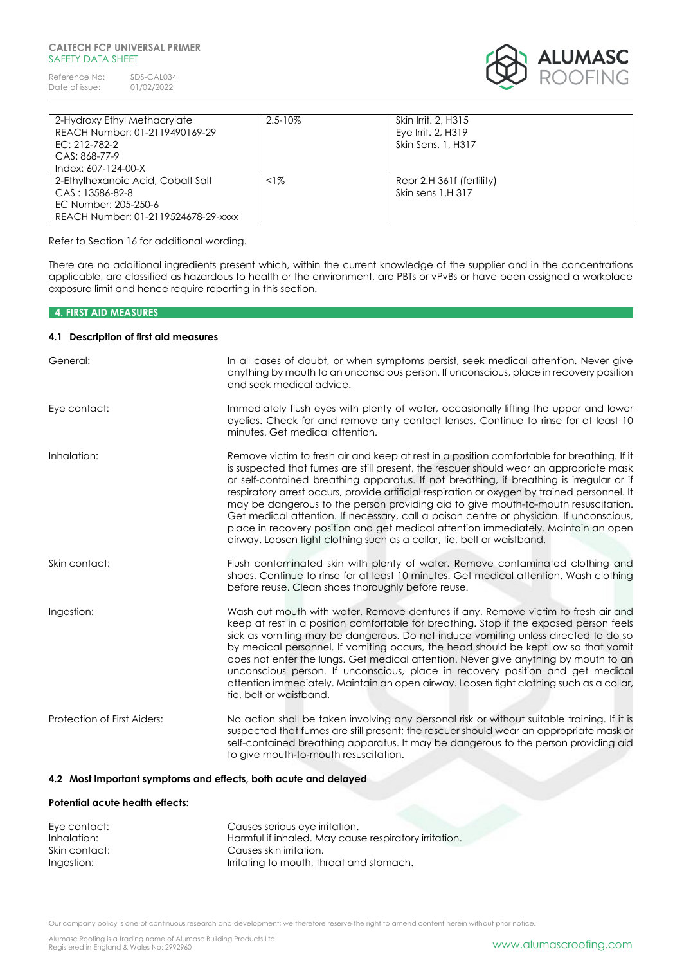Reference No: SDS-CAL034<br>Date of issue: 01/02/2022 Date of issue:



| 2-Hydroxy Ethyl Methacrylate<br>REACH Number: 01-2119490169-29<br>EC: 212-782-2<br>CAS: 868-77-9<br>Index: 607-124-00-X | $2.5 - 10\%$ | Skin Irrit, 2, H315<br>Eye Irrit. 2, H319<br>Skin Sens. 1, H317 |
|-------------------------------------------------------------------------------------------------------------------------|--------------|-----------------------------------------------------------------|
| 2-Ethylhexanoic Acid, Cobalt Salt<br>$CAS: 13586-82-8$<br>EC Number: 205-250-6<br>REACH Number: 01-2119524678-29-xxxx   | $\leq$ 1%    | Repr 2.H 361f (fertility)<br>Skin sens 1.H 317                  |

Refer to Section 16 for additional wording.

There are no additional ingredients present which, within the current knowledge of the supplier and in the concentrations applicable, are classified as hazardous to health or the environment, are PBTs or vPvBs or have been assigned a workplace exposure limit and hence require reporting in this section.

# **4. FIRST AID MEASURES**

# **4.1 Description of first aid measures**

| General:                    | In all cases of doubt, or when symptoms persist, seek medical attention. Never give<br>anything by mouth to an unconscious person. If unconscious, place in recovery position<br>and seek medical advice.                                                                                                                                                                                                                                                                                                                                                                                                                                                                                                                          |
|-----------------------------|------------------------------------------------------------------------------------------------------------------------------------------------------------------------------------------------------------------------------------------------------------------------------------------------------------------------------------------------------------------------------------------------------------------------------------------------------------------------------------------------------------------------------------------------------------------------------------------------------------------------------------------------------------------------------------------------------------------------------------|
| Eye contact:                | Immediately flush eyes with plenty of water, occasionally lifting the upper and lower<br>eyelids. Check for and remove any contact lenses. Continue to rinse for at least 10<br>minutes. Get medical attention.                                                                                                                                                                                                                                                                                                                                                                                                                                                                                                                    |
| Inhalation:                 | Remove victim to fresh air and keep at rest in a position comfortable for breathing. If it<br>is suspected that fumes are still present, the rescuer should wear an appropriate mask<br>or self-contained breathing apparatus. If not breathing, if breathing is irregular or if<br>respiratory arrest occurs, provide artificial respiration or oxygen by trained personnel. It<br>may be dangerous to the person providing aid to give mouth-to-mouth resuscitation.<br>Get medical attention. If necessary, call a poison centre or physician. If unconscious,<br>place in recovery position and get medical attention immediately. Maintain an open<br>airway. Loosen tight clothing such as a collar, tie, belt or waistband. |
| Skin contact:               | Flush contaminated skin with plenty of water. Remove contaminated clothing and<br>shoes. Continue to rinse for at least 10 minutes. Get medical attention. Wash clothing<br>before reuse. Clean shoes thoroughly before reuse.                                                                                                                                                                                                                                                                                                                                                                                                                                                                                                     |
| Ingestion:                  | Wash out mouth with water. Remove dentures if any. Remove victim to fresh air and<br>keep at rest in a position comfortable for breathing. Stop if the exposed person feels<br>sick as vomiting may be dangerous. Do not induce vomiting unless directed to do so<br>by medical personnel. If vomiting occurs, the head should be kept low so that vomit<br>does not enter the lungs. Get medical attention. Never give anything by mouth to an<br>unconscious person. If unconscious, place in recovery position and get medical<br>attention immediately. Maintain an open airway. Loosen tight clothing such as a collar,<br>tie, belt or waistband.                                                                            |
| Protection of First Aiders: | No action shall be taken involving any personal risk or without suitable training. If it is<br>suspected that fumes are still present; the rescuer should wear an appropriate mask or<br>self-contained breathing apparatus. It may be dangerous to the person providing aid<br>to give mouth-to-mouth resuscitation.                                                                                                                                                                                                                                                                                                                                                                                                              |

# **4.2 Most important symptoms and effects, both acute and delayed**

## **Potential acute health effects:**

| Eye contact:  | Causes serious eye irritation.                        |
|---------------|-------------------------------------------------------|
| Inhalation:   | Harmful if inhaled. May cause respiratory irritation. |
| Skin contact: | Causes skin irritation.                               |
| Ingestion:    | Irritating to mouth, throat and stomach.              |

Our company policy is one of continuous research and development; we therefore reserve the right to amend content herein without prior notice.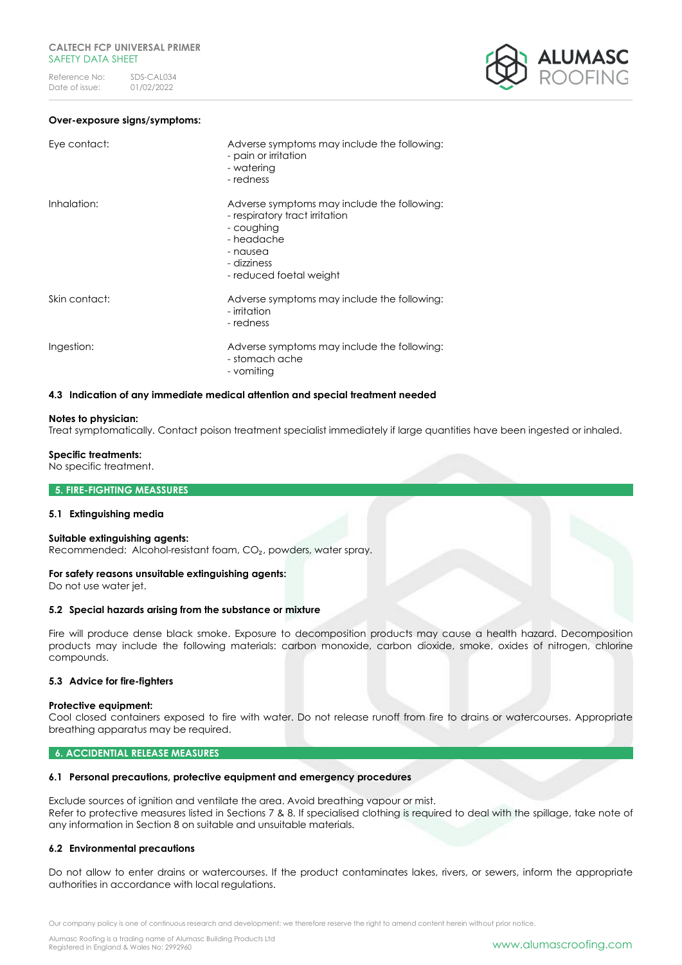#### **Over-exposure signs/symptoms:**

| Eye contact:  | Adverse symptoms may include the following:<br>- pain or irritation<br>- watering<br>- redness                                                                  |
|---------------|-----------------------------------------------------------------------------------------------------------------------------------------------------------------|
| Inhalation:   | Adverse symptoms may include the following:<br>- respiratory tract irritation<br>- coughing<br>- headache<br>- nausea<br>- dizziness<br>- reduced foetal weight |
| Skin contact: | Adverse symptoms may include the following:<br>- irritation<br>- redness                                                                                        |
| Ingestion:    | Adverse symptoms may include the following:<br>- stomach ache<br>- vomiting                                                                                     |

### **4.3 Indication of any immediate medical attention and special treatment needed**

#### **Notes to physician:**

Treat symptomatically. Contact poison treatment specialist immediately if large quantities have been ingested or inhaled.

### **Specific treatments:**

No specific treatment.

#### **5. FIRE-FIGHTING MEASSURES**

## **5.1 Extinguishing media**

#### **Suitable extinguishing agents:**

Recommended: Alcohol-resistant foam, CO<sub>2</sub>, powders, water spray.

#### **For safety reasons unsuitable extinguishing agents:**

Do not use water jet.

#### **5.2 Special hazards arising from the substance or mixture**

Fire will produce dense black smoke. Exposure to decomposition products may cause a health hazard. Decomposition products may include the following materials: carbon monoxide, carbon dioxide, smoke, oxides of nitrogen, chlorine compounds.

# **5.3 Advice for fire-fighters**

#### **Protective equipment:**

Cool closed containers exposed to fire with water. Do not release runoff from fire to drains or watercourses. Appropriate breathing apparatus may be required.

## **6. ACCIDENTIAL RELEASE MEASURES**

#### **6.1 Personal precautions, protective equipment and emergency procedures**

Exclude sources of ignition and ventilate the area. Avoid breathing vapour or mist. Refer to protective measures listed in Sections 7 & 8. If specialised clothing is required to deal with the spillage, take note of any information in Section 8 on suitable and unsuitable materials.

# **6.2 Environmental precautions**

Do not allow to enter drains or watercourses. If the product contaminates lakes, rivers, or sewers, inform the appropriate authorities in accordance with local regulations.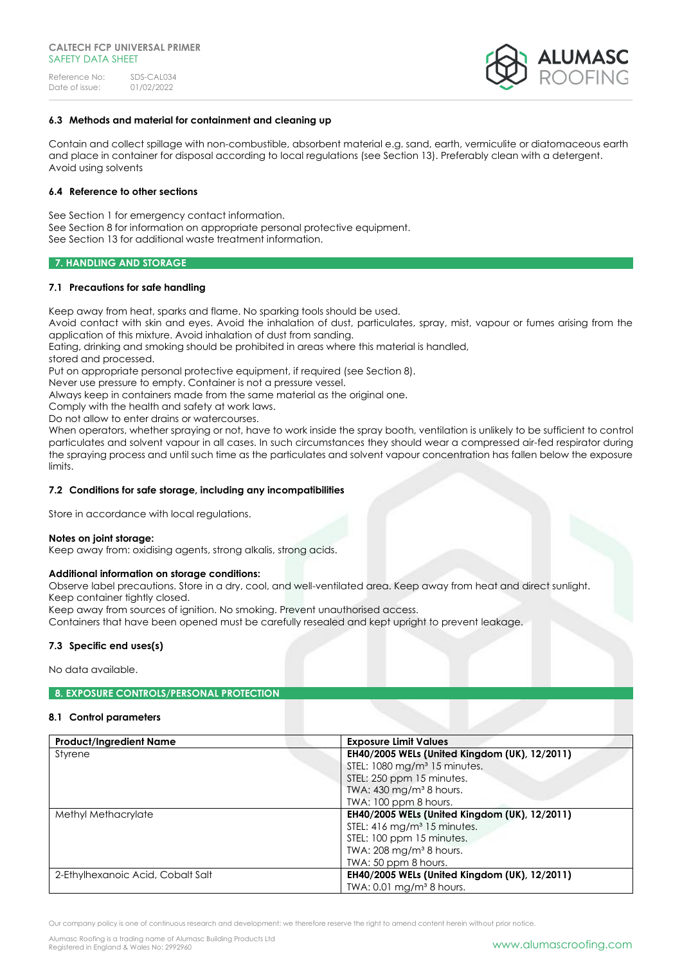

# **6.3 Methods and material for containment and cleaning up**

Contain and collect spillage with non-combustible, absorbent material e.g. sand, earth, vermiculite or diatomaceous earth and place in container for disposal according to local regulations (see Section 13). Preferably clean with a detergent. Avoid using solvents

### **6.4 Reference to other sections**

See Section 1 for emergency contact information.

See Section 8 for information on appropriate personal protective equipment.

See Section 13 for additional waste treatment information.

# **7. HANDLING AND STORAGE**

# **7.1 Precautions for safe handling**

Keep away from heat, sparks and flame. No sparking tools should be used.

Avoid contact with skin and eyes. Avoid the inhalation of dust, particulates, spray, mist, vapour or fumes arising from the application of this mixture. Avoid inhalation of dust from sanding.

Eating, drinking and smoking should be prohibited in areas where this material is handled,

stored and processed.

Put on appropriate personal protective equipment, if required (see Section 8).

Never use pressure to empty. Container is not a pressure vessel.

Always keep in containers made from the same material as the original one.

Comply with the health and safety at work laws.

Do not allow to enter drains or watercourses.

When operators, whether spraying or not, have to work inside the spray booth, ventilation is unlikely to be sufficient to control particulates and solvent vapour in all cases. In such circumstances they should wear a compressed air-fed respirator during the spraying process and until such time as the particulates and solvent vapour concentration has fallen below the exposure limits.

# **7.2 Conditions for safe storage, including any incompatibilities**

Store in accordance with local regulations.

#### **Notes on joint storage:**

Keep away from: oxidising agents, strong alkalis, strong acids.

# **Additional information on storage conditions:**

Observe label precautions. Store in a dry, cool, and well-ventilated area. Keep away from heat and direct sunlight. Keep container tightly closed.

Keep away from sources of ignition. No smoking. Prevent unauthorised access.

Containers that have been opened must be carefully resealed and kept upright to prevent leakage.

# **7.3 Specific end uses(s)**

No data available.

# **8. EXPOSURE CONTROLS/PERSONAL PROTECTION**

# **8.1 Control parameters**

| <b>Product/Ingredient Name</b>    | <b>Exposure Limit Values</b>                  |  |
|-----------------------------------|-----------------------------------------------|--|
| Styrene                           | EH40/2005 WELs (United Kingdom (UK), 12/2011) |  |
|                                   | STEL: 1080 mg/m <sup>3</sup> 15 minutes.      |  |
|                                   | STEL: 250 ppm 15 minutes.                     |  |
|                                   | TWA: 430 mg/m <sup>3</sup> 8 hours.           |  |
|                                   | TWA: 100 ppm 8 hours.                         |  |
| Methyl Methacrylate               | EH40/2005 WELs (United Kingdom (UK), 12/2011) |  |
|                                   | STEL: 416 mg/m <sup>3</sup> 15 minutes.       |  |
|                                   | STEL: 100 ppm 15 minutes.                     |  |
|                                   | TWA: $208 \text{ mg/m}^3 8 \text{ hours}$ .   |  |
|                                   | TWA: 50 ppm 8 hours.                          |  |
| 2-Ethylhexanoic Acid, Cobalt Salt | EH40/2005 WELs (United Kingdom (UK), 12/2011) |  |
|                                   | TWA: $0.01$ mg/m <sup>3</sup> 8 hours.        |  |

Our company policy is one of continuous research and development; we therefore reserve the right to amend content herein without prior notice.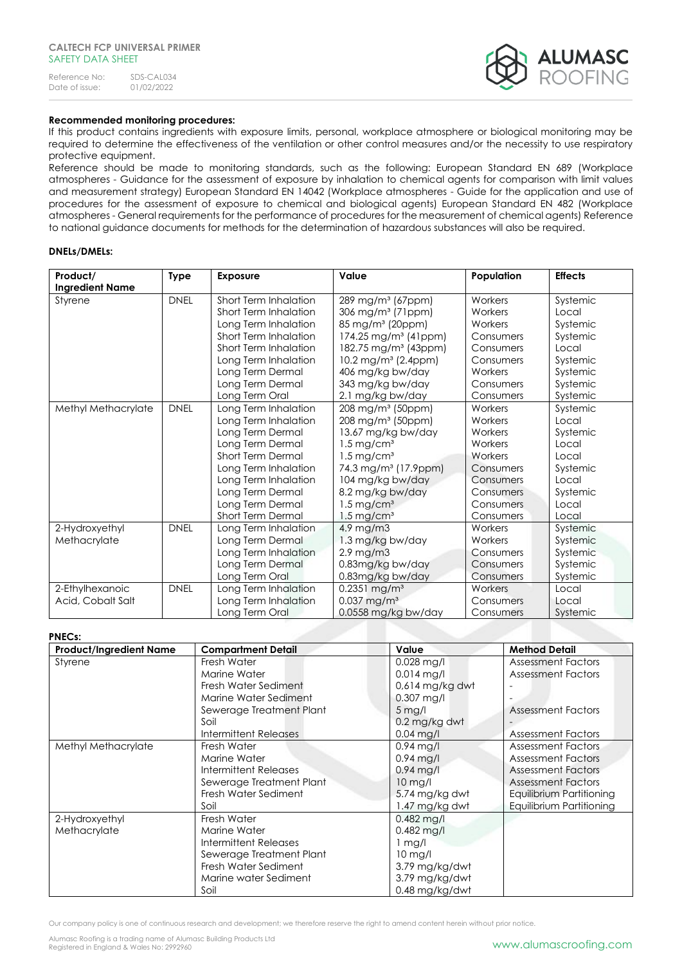| Reference No:  | SDS-CAL034 |
|----------------|------------|
| Date of issue: | 01/02/2022 |



# **Recommended monitoring procedures:**

If this product contains ingredients with exposure limits, personal, workplace atmosphere or biological monitoring may be required to determine the effectiveness of the ventilation or other control measures and/or the necessity to use respiratory protective equipment.

Reference should be made to monitoring standards, such as the following: European Standard EN 689 (Workplace atmospheres - Guidance for the assessment of exposure by inhalation to chemical agents for comparison with limit values and measurement strategy) European Standard EN 14042 (Workplace atmospheres - Guide for the application and use of procedures for the assessment of exposure to chemical and biological agents) European Standard EN 482 (Workplace atmospheres - General requirements for the performance of procedures for the measurement of chemical agents) Reference to national guidance documents for methods for the determination of hazardous substances will also be required.

# **DNELs/DMELs:**

| Product/               | <b>Type</b> | <b>Exposure</b>          | Value                              | Population | <b>Effects</b> |
|------------------------|-------------|--------------------------|------------------------------------|------------|----------------|
| <b>Ingredient Name</b> |             |                          |                                    |            |                |
| Styrene                | <b>DNEL</b> | Short Term Inhalation    | 289 mg/m <sup>3</sup> (67ppm)      | Workers    | Systemic       |
|                        |             | Short Term Inhalation    | 306 mg/m <sup>3</sup> (71ppm)      | Workers    | Local          |
|                        |             | Long Term Inhalation     | 85 mg/m <sup>3</sup> (20ppm)       | Workers    | Systemic       |
|                        |             | Short Term Inhalation    | $174.25$ mg/m <sup>3</sup> (41ppm) | Consumers  | Systemic       |
|                        |             | Short Term Inhalation    | 182.75 mg/m <sup>3</sup> (43ppm)   | Consumers  | Local          |
|                        |             | Long Term Inhalation     | 10.2 mg/m <sup>3</sup> (2.4ppm)    | Consumers  | Systemic       |
|                        |             | Long Term Dermal         | 406 mg/kg bw/day                   | Workers    | Systemic       |
|                        |             | Long Term Dermal         | 343 mg/kg bw/day                   | Consumers  | Systemic       |
|                        |             | Long Term Oral           | 2.1 mg/kg bw/day                   | Consumers  | Systemic       |
| Methyl Methacrylate    | <b>DNEL</b> | Long Term Inhalation     | 208 mg/m <sup>3</sup> (50ppm)      | Workers    | Systemic       |
|                        |             | Long Term Inhalation     | 208 mg/m <sup>3</sup> (50ppm)      | Workers    | Local          |
|                        |             | Long Term Dermal         | 13.67 mg/kg bw/day                 | Workers    | Systemic       |
|                        |             | Long Term Dermal         | $1.5$ mg/cm <sup>3</sup>           | Workers    | Local          |
|                        |             | Short Term Dermal        | $1.5 \,\mathrm{mg/cm^3}$           | Workers    | Local          |
|                        |             | Long Term Inhalation     | 74.3 mg/m <sup>3</sup> (17.9ppm)   | Consumers  | Systemic       |
|                        |             | Long Term Inhalation     | 104 mg/kg bw/day                   | Consumers  | Local          |
|                        |             | Long Term Dermal         | 8.2 mg/kg bw/day                   | Consumers  | Systemic       |
|                        |             | Long Term Dermal         | $1.5 \,\mathrm{mg/cm^3}$           | Consumers  | Local          |
|                        |             | <b>Short Term Dermal</b> | $1.5 \,\mathrm{mg/cm^3}$           | Consumers  | Local          |
| 2-Hydroxyethyl         | <b>DNEL</b> | Long Term Inhalation     | 4.9 mg/m3                          | Workers    | Systemic       |
| Methacrylate           |             | Long Term Dermal         | 1.3 mg/kg bw/day                   | Workers    | Systemic       |
|                        |             | Long Term Inhalation     | $2.9$ mg/m $3$                     | Consumers  | Systemic       |
|                        |             | Long Term Dermal         | 0.83mg/kg bw/day                   | Consumers  | Systemic       |
|                        |             | Long Term Oral           | 0.83mg/kg bw/day                   | Consumers  | Systemic       |
| 2-Ethylhexanoic        | <b>DNEL</b> | Long Term Inhalation     | $0.2351$ mg/m <sup>3</sup>         | Workers    | Local          |
| Acid, Cobalt Salt      |             | Long Term Inhalation     | $0.037$ mg/m <sup>3</sup>          | Consumers  | Local          |
|                        |             | Long Term Oral           | 0.0558 mg/kg bw/day                | Consumers  | Systemic       |

# **PNECs:**

| ness.                          |                              |                         |                           |
|--------------------------------|------------------------------|-------------------------|---------------------------|
| <b>Product/Ingredient Name</b> | <b>Compartment Detail</b>    | Value                   | <b>Method Detail</b>      |
| Styrene                        | Fresh Water                  | $0.028$ mg/l            | <b>Assessment Factors</b> |
|                                | Marine Water                 | $0.014$ mg/l            | <b>Assessment Factors</b> |
|                                | Fresh Water Sediment         | $0.614$ mg/kg dwt       |                           |
|                                | Marine Water Sediment        | $0.307$ mg/l            |                           |
|                                | Sewerage Treatment Plant     | $5$ mg/l                | <b>Assessment Factors</b> |
|                                | Soil                         | $0.2$ mg/kg dwt         |                           |
|                                | Intermittent Releases        | $0.04$ mg/l             | <b>Assessment Factors</b> |
| Methyl Methacrylate            | Fresh Water                  | $0.94$ mg/l             | <b>Assessment Factors</b> |
|                                | Marine Water                 | $0.94$ mg/l             | <b>Assessment Factors</b> |
|                                | Intermittent Releases        | $0.94$ mg/l             | <b>Assessment Factors</b> |
|                                | Sewerage Treatment Plant     | 10 mg/l                 | <b>Assessment Factors</b> |
|                                | Fresh Water Sediment         | 5.74 mg/kg dwt          | Equilibrium Partitioning  |
|                                | Soil                         | 1.47 mg/kg dwt          | Equilibrium Partitioning  |
| 2-Hydroxyethyl                 | Fresh Water                  | $0.482$ mg/l            |                           |
| Methacrylate                   | Marine Water                 | $0.482$ mg/l            |                           |
|                                | <b>Intermittent Releases</b> | $\lfloor$ mg/ $\lfloor$ |                           |
|                                | Sewerage Treatment Plant     | 10 mg/l                 |                           |
|                                | Fresh Water Sediment         | 3.79 mg/kg/dwt          |                           |
|                                | Marine water Sediment        | 3.79 mg/kg/dwt          |                           |
|                                | Soil                         | 0.48 mg/kg/dwt          |                           |

Our company policy is one of continuous research and development; we therefore reserve the right to amend content herein without prior notice.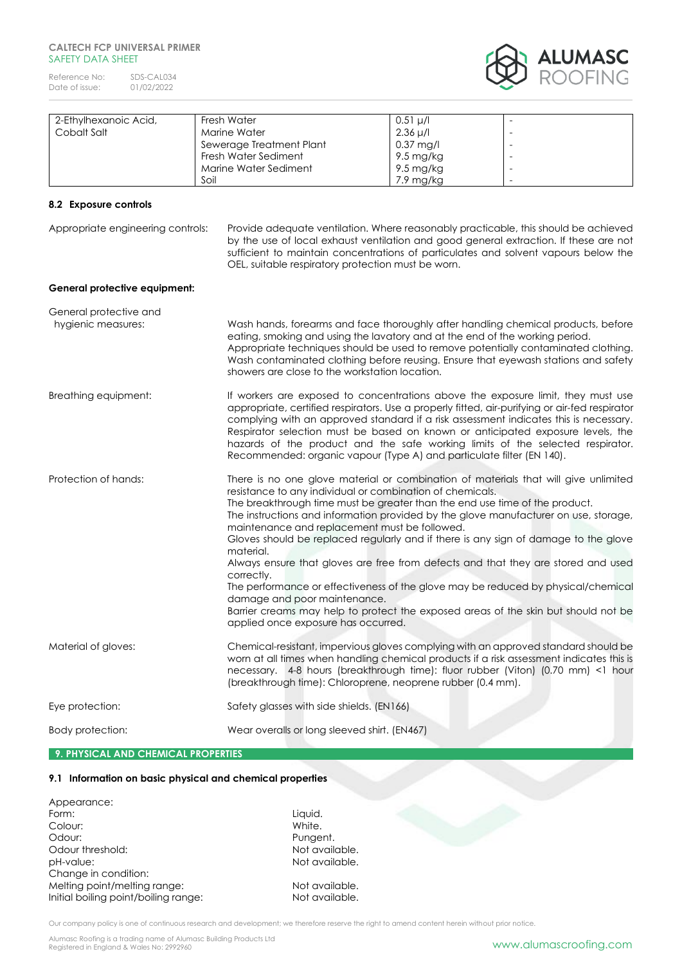Reference No: SDS-CAL034<br>Date of issue: 01/02/2022 Date of issue:



| 2-Ethylhexanoic Acid, | Fresh Water              | $0.51 \mu/l$        |                          |
|-----------------------|--------------------------|---------------------|--------------------------|
| Cobalt Salt           | Marine Water             | $2.36 \mu/l$        | $\overline{\phantom{a}}$ |
|                       | Sewerage Treatment Plant | $0.37 \text{ mg/l}$ |                          |
|                       | Fresh Water Sediment     | 9.5 mg/kg           |                          |
|                       | Marine Water Sediment    | 9.5 mg/kg           | $\overline{\phantom{a}}$ |
|                       | Soil                     | 7.9 mg/kg           | $\overline{\phantom{a}}$ |

# **8.2 Exposure controls**

Appropriate engineering controls: Provide adequate ventilation. Where reasonably practicable, this should be achieved by the use of local exhaust ventilation and good general extraction. If these are not sufficient to maintain concentrations of particulates and solvent vapours below the OEL, suitable respiratory protection must be worn.

### **General protective equipment:**

| General protective and              |                                                                                                                                                                                                                                                                                                                                                                                                                                                                                                                                                                                                                                                                                                                                                                                                                                   |
|-------------------------------------|-----------------------------------------------------------------------------------------------------------------------------------------------------------------------------------------------------------------------------------------------------------------------------------------------------------------------------------------------------------------------------------------------------------------------------------------------------------------------------------------------------------------------------------------------------------------------------------------------------------------------------------------------------------------------------------------------------------------------------------------------------------------------------------------------------------------------------------|
| hygienic measures:                  | Wash hands, forearms and face thoroughly after handling chemical products, before<br>eating, smoking and using the lavatory and at the end of the working period.<br>Appropriate techniques should be used to remove potentially contaminated clothing.<br>Wash contaminated clothing before reusing. Ensure that eyewash stations and safety<br>showers are close to the workstation location.                                                                                                                                                                                                                                                                                                                                                                                                                                   |
| Breathing equipment:                | If workers are exposed to concentrations above the exposure limit, they must use<br>appropriate, certified respirators. Use a properly fitted, air-purifying or air-fed respirator<br>complying with an approved standard if a risk assessment indicates this is necessary.<br>Respirator selection must be based on known or anticipated exposure levels, the<br>hazards of the product and the safe working limits of the selected respirator.<br>Recommended: organic vapour (Type A) and particulate filter (EN 140).                                                                                                                                                                                                                                                                                                         |
| Protection of hands:                | There is no one glove material or combination of materials that will give unlimited<br>resistance to any individual or combination of chemicals.<br>The breakthrough time must be greater than the end use time of the product.<br>The instructions and information provided by the glove manufacturer on use, storage,<br>maintenance and replacement must be followed.<br>Gloves should be replaced regularly and if there is any sign of damage to the glove<br>material.<br>Always ensure that gloves are free from defects and that they are stored and used<br>correctly.<br>The performance or effectiveness of the glove may be reduced by physical/chemical<br>damage and poor maintenance.<br>Barrier creams may help to protect the exposed areas of the skin but should not be<br>applied once exposure has occurred. |
| Material of gloves:                 | Chemical-resistant, impervious gloves complying with an approved standard should be<br>worn at all times when handling chemical products if a risk assessment indicates this is<br>necessary. 4-8 hours (breakthrough time): fluor rubber (Viton) (0.70 mm) <1 hour<br>(breakthrough time): Chloroprene, neoprene rubber (0.4 mm).                                                                                                                                                                                                                                                                                                                                                                                                                                                                                                |
| Eye protection:                     | Safety glasses with side shields. (EN166)                                                                                                                                                                                                                                                                                                                                                                                                                                                                                                                                                                                                                                                                                                                                                                                         |
| Body protection:                    | Wear overalls or long sleeved shirt. (EN467)                                                                                                                                                                                                                                                                                                                                                                                                                                                                                                                                                                                                                                                                                                                                                                                      |
| 9. PHYSICAL AND CHEMICAL PROPERTIES |                                                                                                                                                                                                                                                                                                                                                                                                                                                                                                                                                                                                                                                                                                                                                                                                                                   |

#### **9.1 Information on basic physical and chemical properties**

| Appearance:                          |                |
|--------------------------------------|----------------|
| Form:                                | Liquid.        |
| Colour:                              | White.         |
| Odour:                               | Pungent.       |
| Odour threshold:                     | Not available. |
| pH-value:                            | Not available. |
| Change in condition:                 |                |
| Melting point/melting range:         | Not available. |
| Initial boiling point/boiling range: | Not available. |
|                                      |                |

Our company policy is one of continuous research and development; we therefore reserve the right to amend content herein without prior notice.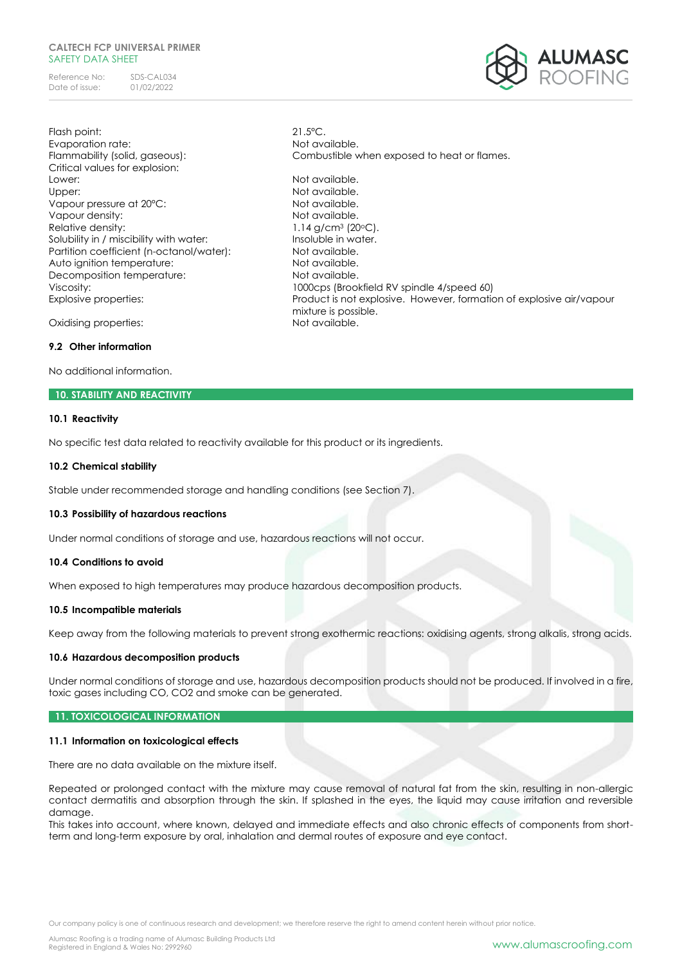Reference No: SDS-CAL034<br>Date of issue: 01/02/2022 Date of issue:



Flash point: 21.5°C. Evaporation rate: Not available. Critical values for explosion: Lower: Not available. Upper: Version of the Motor Not available. Vapour pressure at 20°C: Not available. Vapour density: Not available. Relative density:  $1.14 \text{ g/cm}^3 \text{ (20}^{\circ}\text{C)}$ . Solubility in / miscibility with water: Insoluble in water. Partition coefficient (n-octanol/water): Not available. Auto ignition temperature: Not available. Decomposition temperature: Not available.

Flammability (solid, gaseous): Combustible when exposed to heat or flames. Viscosity: 1000cps (Brookfield RV spindle 4/speed 60) Explosive properties: Product is not explosive. However, formation of explosive air/vapour mixture is possible.<br>Not available.

Oxidising properties:

# **9.2 Other information**

No additional information.

## **10. STABILITY AND REACTIVITY**

## **10.1 Reactivity**

No specific test data related to reactivity available for this product or its ingredients.

#### **10.2 Chemical stability**

Stable under recommended storage and handling conditions (see Section 7).

# **10.3 Possibility of hazardous reactions**

Under normal conditions of storage and use, hazardous reactions will not occur.

#### **10.4 Conditions to avoid**

When exposed to high temperatures may produce hazardous decomposition products.

# **10.5 Incompatible materials**

Keep away from the following materials to prevent strong exothermic reactions: oxidising agents, strong alkalis, strong acids.

#### **10.6 Hazardous decomposition products**

Under normal conditions of storage and use, hazardous decomposition products should not be produced. If involved in a fire, toxic gases including CO, CO2 and smoke can be generated.

#### **11. TOXICOLOGICAL INFORMATION**

# **11.1 Information on toxicological effects**

There are no data available on the mixture itself.

Repeated or prolonged contact with the mixture may cause removal of natural fat from the skin, resulting in non-allergic contact dermatitis and absorption through the skin. If splashed in the eyes, the liquid may cause irritation and reversible damage.

This takes into account, where known, delayed and immediate effects and also chronic effects of components from shortterm and long-term exposure by oral, inhalation and dermal routes of exposure and eye contact.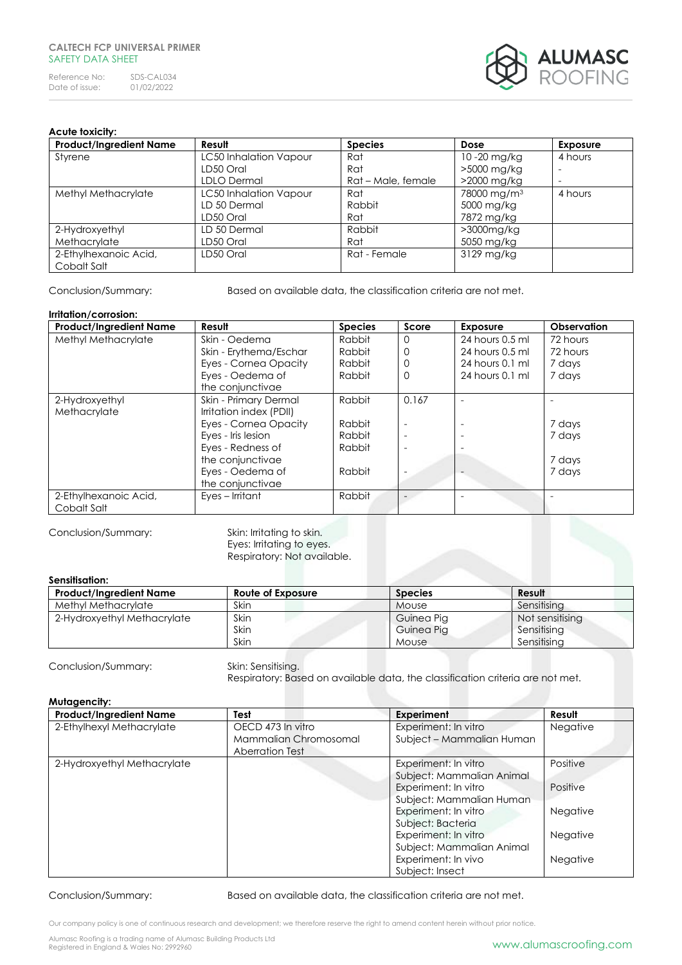

# **Acute toxicity:**

| <b>Product/Ingredient Name</b> | Result                 | <b>Species</b>     | Dose                    | <b>Exposure</b>          |
|--------------------------------|------------------------|--------------------|-------------------------|--------------------------|
| Styrene                        | LC50 Inhalation Vapour | Rat                | 10-20 mg/kg             | 4 hours                  |
|                                | LD50 Oral              | Rat                | >5000 mg/kg             | $\overline{\phantom{a}}$ |
|                                | <b>LDLO Dermal</b>     | Rat - Male, female | >2000 mg/kg             | $\overline{\phantom{a}}$ |
| Methyl Methacrylate            | LC50 Inhalation Vapour | Rat                | 78000 mg/m <sup>3</sup> | 4 hours                  |
|                                | LD 50 Dermal           | Rabbit             | 5000 mg/kg              |                          |
|                                | LD50 Oral              | Rat                | 7872 mg/kg              |                          |
| 2-Hydroxyethyl                 | LD 50 Dermal           | Rabbit             | >3000mg/kg              |                          |
| Methacrylate                   | LD50 Oral              | Rat                | 5050 mg/kg              |                          |
| 2-Ethylhexanoic Acid,          | LD50 Oral              | Rat - Female       | 3129 mg/kg              |                          |
| Cobalt Salt                    |                        |                    |                         |                          |

Conclusion/Summary: Based on available data, the classification criteria are not met.

### **Irritation/corrosion:**

| <b>Product/Ingredient Name</b> | Result                  | <b>Species</b> | Score    | <b>Exposure</b>   | Observation |
|--------------------------------|-------------------------|----------------|----------|-------------------|-------------|
| Methyl Methacrylate            | Skin - Oedema           | Rabbit         | $\Omega$ | 24 hours 0.5 ml   | 72 hours    |
|                                | Skin - Erythema/Eschar  | Rabbit         | $\Omega$ | 24 hours 0.5 ml   | 72 hours    |
|                                | Eyes - Cornea Opacity   | Rabbit         | $\Omega$ | $24$ hours 0.1 ml | 7 days      |
|                                | Eyes - Oedema of        | Rabbit         | $\Omega$ | 24 hours 0.1 ml   | 7 days      |
|                                | the conjunctivae        |                |          |                   |             |
| 2-Hydroxyethyl                 | Skin - Primary Dermal   | Rabbit         | 0.167    |                   |             |
| Methacrylate                   | Irritation index (PDII) |                |          |                   |             |
|                                | Eyes - Cornea Opacity   | Rabbit         |          |                   | 7 days      |
|                                | Eyes - Iris lesion      | Rabbit         |          |                   | 7 days      |
|                                | Eyes - Redness of       | Rabbit         |          |                   |             |
|                                | the conjunctivae        |                |          |                   | 7 days      |
|                                | Eyes - Oedema of        | Rabbit         |          |                   | 7 days      |
|                                | the conjunctivae        |                |          |                   |             |
| 2-Ethylhexanoic Acid,          | Eyes – Irritant         | Rabbit         |          |                   |             |
| Cobalt Salt                    |                         |                |          |                   |             |

Conclusion/Summary: Skin: Irritating to skin.

Eyes: Irritating to eyes. Respiratory: Not available.

# **Sensitisation:**

| <b>Product/Ingredient Name</b> | Route of Exposure | <b>Species</b> | Result          |
|--------------------------------|-------------------|----------------|-----------------|
| Methyl Methacrylate            | Skin              | Mouse          | Sensitisina     |
| 2-Hydroxyethyl Methacrylate    | Skin              | Guinea Pig     | Not sensitising |
|                                | Skin              | Guinea Pig     | Sensitising     |
|                                | Skin              | <b>Mouse</b>   | Sensitisina     |

Conclusion/Summary: Skin: Sensitising.

Respiratory: Based on available data, the classification criteria are not met.

# **Mutagencity:**

| <b>Product/Ingredient Name</b> | Test                                       | Experiment                                        | Result          |
|--------------------------------|--------------------------------------------|---------------------------------------------------|-----------------|
| 2-Ethylhexyl Methacrylate      | OECD 473 In vitro<br>Mammalian Chromosomal | Experiment: In vitro<br>Subject - Mammalian Human | Negative        |
|                                | Aberration Test                            |                                                   |                 |
| 2-Hydroxyethyl Methacrylate    |                                            | Experiment: In vitro                              | Positive        |
|                                |                                            | Subject: Mammalian Animal                         |                 |
|                                |                                            | Experiment: In vitro                              | Positive        |
|                                |                                            | Subject: Mammalian Human                          |                 |
|                                |                                            | Experiment: In vitro                              | <b>Negative</b> |
|                                |                                            | Subject: Bacteria                                 |                 |
|                                |                                            | Experiment: In vitro                              | <b>Negative</b> |
|                                |                                            | Subject: Mammalian Animal                         |                 |
|                                |                                            | Experiment: In vivo                               | <b>Negative</b> |
|                                |                                            | Subject: Insect                                   |                 |

Conclusion/Summary: Based on available data, the classification criteria are not met.

Our company policy is one of continuous research and development; we therefore reserve the right to amend content herein without prior notice.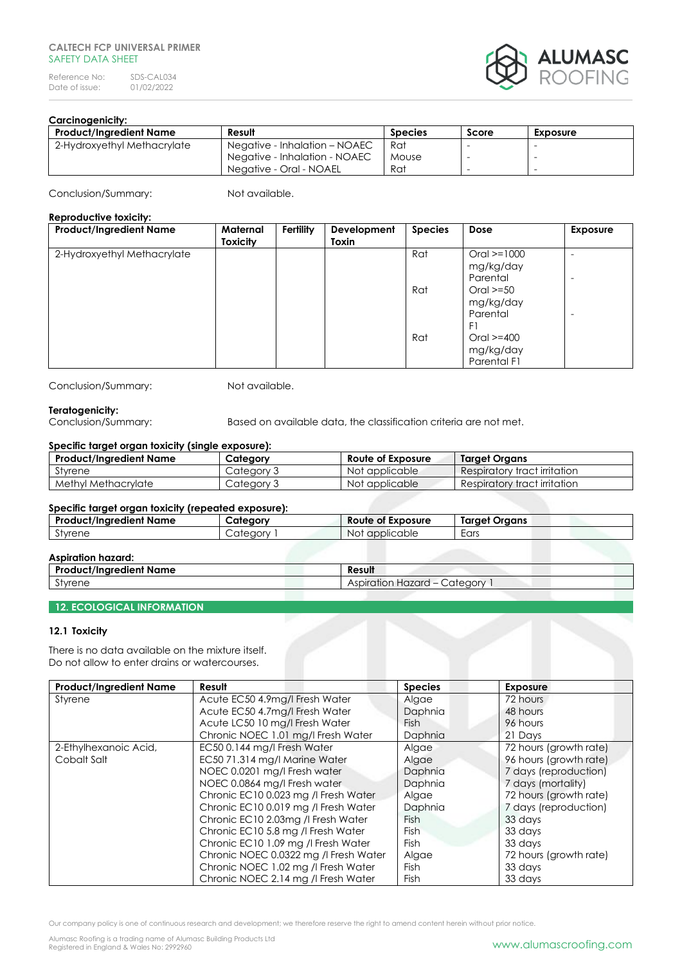Reference No: SDS-CAL034<br>Date of issue: 01/02/2022 Date of issue:



# **Carcinogenicity:**

| Product/Ingredient Name     | Result                        | <b>Species</b> | Score | <b>Exposure</b> |
|-----------------------------|-------------------------------|----------------|-------|-----------------|
| 2-Hydroxyethyl Methacrylate | Negative - Inhalation - NOAEC | Rat            |       |                 |
|                             | Negative - Inhalation - NOAEC | Mouse          |       | -               |
|                             | Negative - Oral - NOAEL       | Rat            |       | -               |

Conclusion/Summary: Not available.

#### **Reproductive toxicity:**

| <b>Product/Ingredient Name</b> | Maternal<br><b>Toxicity</b> | Fertility | Development<br>Toxin | <b>Species</b> | Dose                                         | <b>Exposure</b> |
|--------------------------------|-----------------------------|-----------|----------------------|----------------|----------------------------------------------|-----------------|
| 2-Hydroxyethyl Methacrylate    |                             |           |                      | Rat            | $Oral = 1000$<br>mg/kg/day<br>Parental       |                 |
|                                |                             |           |                      | Rat            | $Oral \ge 50$<br>mg/kg/day<br>Parental<br>F1 |                 |
|                                |                             |           |                      | Rat            | Oral $>=$ 400<br>mg/kg/day<br>Parental F1    |                 |

Conclusion/Summary: Not available.

**Teratogenicity:**<br>Conclusion/Summary:

Based on available data, the classification criteria are not met.

# **Specific target organ toxicity (single exposure):**

| <b>Product/Ingredient Name</b> | Category   | Route of Exposure | Target Organs                |
|--------------------------------|------------|-------------------|------------------------------|
| Styrene                        | Category 3 | Not applicable    | Respiratory tract irritation |
| Methyl Methacrylate            | Category 3 | Not applicable    | Respiratory tract irritation |

# **Specific target organ toxicity (repeated exposure):**

| <b>Product/Ingredient Name</b> | Category | <b>Route of Exposure</b> | <b>Target Organs</b> |
|--------------------------------|----------|--------------------------|----------------------|
| Styrene                        | Category | Not applicable           | Ears                 |
| .                              |          |                          |                      |

|  | <b>Aspiration hazard:</b> |  |
|--|---------------------------|--|
|--|---------------------------|--|

| <b>AJURUMULITULUM</b>          |                                  |  |  |  |
|--------------------------------|----------------------------------|--|--|--|
| <b>Product/Ingredient Name</b> | Result                           |  |  |  |
| $\sim$<br>Styrene              | Category<br>Hazard<br>Aspiration |  |  |  |
|                                |                                  |  |  |  |

# **12. ECOLOGICAL INFORMATION**

# **12.1 Toxicity**

There is no data available on the mixture itself. Do not allow to enter drains or watercourses.

| <b>Product/Ingredient Name</b> | Result                               | <b>Species</b> | <b>Exposure</b>        |
|--------------------------------|--------------------------------------|----------------|------------------------|
| Styrene                        | Acute EC50 4.9mg/l Fresh Water       | Algae          | 72 hours               |
|                                | Acute EC50 4.7mg/l Fresh Water       | Daphnia        | 48 hours               |
|                                | Acute LC50 10 mg/l Fresh Water       | Fish           | 96 hours               |
|                                | Chronic NOEC 1.01 mg/l Fresh Water   | Daphnia        | 21 Days                |
| 2-Ethylhexanoic Acid,          | EC50 0.144 mg/l Fresh Water          | Algae          | 72 hours (growth rate) |
| Cobalt Salt                    | EC50 71.314 mg/l Marine Water        | Algae          | 96 hours (growth rate) |
|                                | NOEC 0.0201 mg/l Fresh water         | Daphnia        | 7 days (reproduction)  |
|                                | NOEC 0.0864 mg/l Fresh water         | Daphnia        | 7 days (mortality)     |
|                                | Chronic EC10 0.023 mg /l Fresh Water | Algae          | 72 hours (growth rate) |
|                                | Chronic EC10 0.019 mg /l Fresh Water | Daphnia        | 7 days (reproduction)  |
|                                | Chronic EC10 2.03mg /l Fresh Water   | <b>Fish</b>    | 33 days                |
|                                | Chronic EC10 5.8 mg /l Fresh Water   | <b>Fish</b>    | 33 days                |
|                                | Chronic EC10 1.09 mg /l Fresh Water  | Fish           | 33 days                |
|                                | Chronic NOEC 0.0322 mg / Fresh Water | Algae          | 72 hours (growth rate) |
|                                | Chronic NOEC 1.02 mg /l Fresh Water  | <b>Fish</b>    | 33 days                |
|                                | Chronic NOEC 2.14 mg /l Fresh Water  | Fish           | 33 days                |

Our company policy is one of continuous research and development; we therefore reserve the right to amend content herein without prior notice.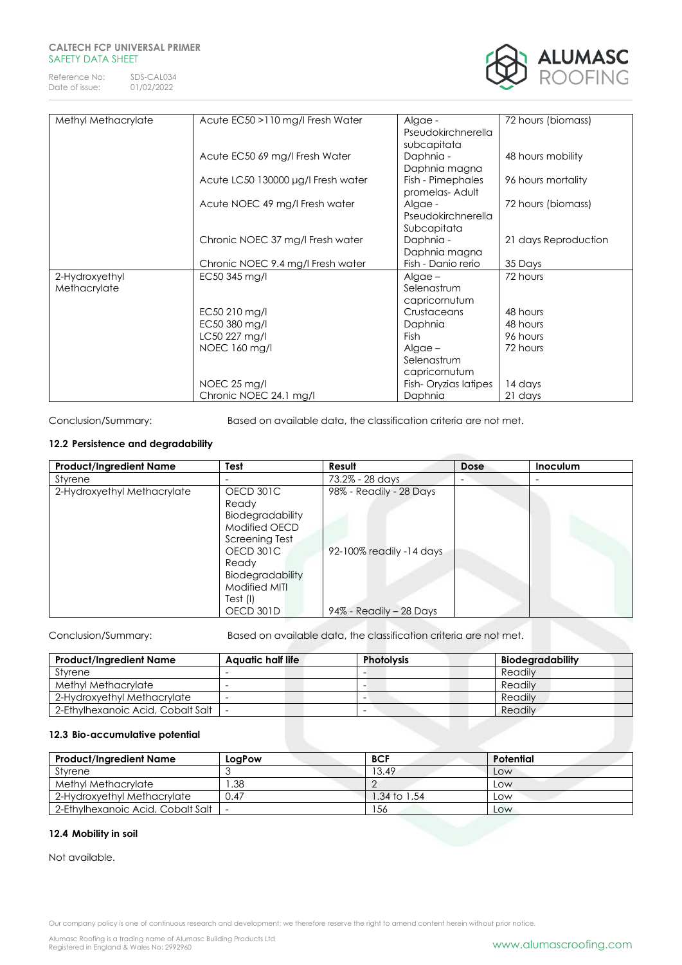Reference No: SDS-CAL034<br>Date of issue: 01/02/2022 Date of issue:



| Methyl Methacrylate | Acute EC50 >110 mg/l Fresh Water   | Algae -              | 72 hours (biomass)   |
|---------------------|------------------------------------|----------------------|----------------------|
|                     |                                    | Pseudokirchnerella   |                      |
|                     |                                    | subcapitata          |                      |
|                     | Acute EC50 69 mg/l Fresh Water     | Daphnia -            | 48 hours mobility    |
|                     |                                    | Daphnia magna        |                      |
|                     | Acute LC50 130000 µg/l Fresh water | Fish - Pimephales    | 96 hours mortality   |
|                     |                                    | promelas-Adult       |                      |
|                     | Acute NOEC 49 mg/l Fresh water     | Algae -              | 72 hours (biomass)   |
|                     |                                    | Pseudokirchnerella   |                      |
|                     |                                    | Subcapitata          |                      |
|                     | Chronic NOEC 37 mg/l Fresh water   | Daphnia -            | 21 days Reproduction |
|                     |                                    | Daphnia magna        |                      |
|                     | Chronic NOEC 9.4 mg/l Fresh water  | Fish - Danio rerio   | 35 Days              |
| 2-Hydroxyethyl      | EC50 345 mg/l                      | $Algae -$            | 72 hours             |
| Methacrylate        |                                    | Selenastrum          |                      |
|                     |                                    | capricornutum        |                      |
|                     | EC50 210 mg/l                      | Crustaceans          | 48 hours             |
|                     | EC50 380 mg/l                      | Daphnia              | 48 hours             |
|                     | LC50 227 mg/l                      | <b>Fish</b>          | 96 hours             |
|                     | NOEC 160 mg/l                      | $Alqae -$            | 72 hours             |
|                     |                                    | Selenastrum          |                      |
|                     |                                    | capricornutum        |                      |
|                     | NOEC 25 mg/l                       | Fish-Oryzias latipes | 14 days              |
|                     | Chronic NOEC 24.1 mg/l             | Daphnia              | 21 days              |

Conclusion/Summary: Based on available data, the classification criteria are not met.

# **12.2 Persistence and degradability**

| <b>Product/Ingredient Name</b> | Test             | Result                   | Dose | Inoculum |
|--------------------------------|------------------|--------------------------|------|----------|
| Styrene                        |                  | 73.2% - 28 days          |      | -        |
| 2-Hydroxyethyl Methacrylate    | OECD 301C        | 98% - Readily - 28 Days  |      |          |
|                                | Ready            |                          |      |          |
|                                | Biodegradability |                          |      |          |
|                                | Modified OECD    |                          |      |          |
|                                | Screening Test   |                          |      |          |
|                                | OECD 301C        | 92-100% readily -14 days |      |          |
|                                | Ready            |                          |      |          |
|                                | Biodegradability |                          |      |          |
|                                | Modified MITI    |                          |      |          |
|                                | Test (I)         |                          |      |          |
|                                | OECD 301D        | 94% - Readily - 28 Days  |      |          |

Conclusion/Summary: Based on available data, the classification criteria are not met.

| <b>Product/Ingredient Name</b>    | Aquatic half life | <b>Photolysis</b>        | Biodegradability |
|-----------------------------------|-------------------|--------------------------|------------------|
| Styrene                           |                   |                          | Readily          |
| Methyl Methacrylate               |                   |                          | Readily          |
| 2-Hydroxyethyl Methacrylate       |                   |                          | Readily          |
| 2-Ethylhexanoic Acid, Cobalt Salt |                   | $\overline{\phantom{a}}$ | Readily          |

# **12.3 Bio-accumulative potential**

| <b>Product/Ingredient Name</b>    | LoaPow | <b>BCF</b>   | Potential |
|-----------------------------------|--------|--------------|-----------|
| Styrene                           |        | 13.49        | Low       |
| Methyl Methacrylate               | .38    |              | Low       |
| 2-Hydroxyethyl Methacrylate       | 0.47   | 1.34 to 1.54 | Low       |
| 2-Ethylhexanoic Acid, Cobalt Salt |        | 156          | Low       |

# **12.4 Mobility in soil**

Not available.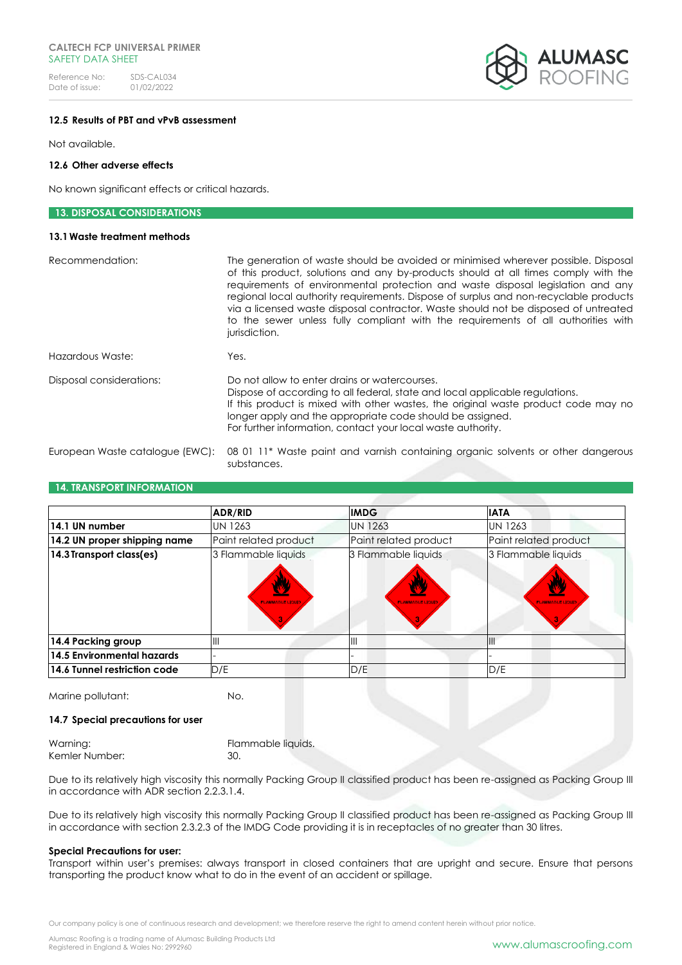Reference No: SDS-CAL034<br>Date of issue: 01/02/2022 Date of issue:



# **12.5 Results of PBT and vPvB assessment**

Not available.

# **12.6 Other adverse effects**

No known significant effects or critical hazards.

| <b>13. DISPOSAL CONSIDERATIONS</b> |                                                                                                                                                                                                                                                                                                                                                                                                                                                                                                                                                   |
|------------------------------------|---------------------------------------------------------------------------------------------------------------------------------------------------------------------------------------------------------------------------------------------------------------------------------------------------------------------------------------------------------------------------------------------------------------------------------------------------------------------------------------------------------------------------------------------------|
| 13.1 Waste treatment methods       |                                                                                                                                                                                                                                                                                                                                                                                                                                                                                                                                                   |
| Recommendation:                    | The generation of waste should be avoided or minimised wherever possible. Disposal<br>of this product, solutions and any by-products should at all times comply with the<br>requirements of environmental protection and waste disposal legislation and any<br>regional local authority requirements. Dispose of surplus and non-recyclable products<br>via a licensed waste disposal contractor. Waste should not be disposed of untreated<br>to the sewer unless fully compliant with the requirements of all authorities with<br>jurisdiction. |
| Hazardous Waste:                   | Yes.                                                                                                                                                                                                                                                                                                                                                                                                                                                                                                                                              |
| Disposal considerations:           | Do not allow to enter drains or watercourses.<br>Dispose of according to all federal, state and local applicable regulations.<br>If this product is mixed with other wastes, the original waste product code may no<br>longer apply and the appropriate code should be assigned.<br>For further information, contact your local waste authority.                                                                                                                                                                                                  |
| European Waste catalogue (EWC):    | 08 01 11* Waste paint and varnish containing organic solvents or other dangerous                                                                                                                                                                                                                                                                                                                                                                                                                                                                  |

## **14. TRANSPORT INFORMATION**

|                              | <b>ADR/RID</b>                               | <b>IMDG</b>                                  | <b>IATA</b>                                   |
|------------------------------|----------------------------------------------|----------------------------------------------|-----------------------------------------------|
| 14.1 UN number               | <b>UN 1263</b>                               | <b>UN 1263</b>                               | <b>UN 1263</b>                                |
| 14.2 UN proper shipping name | Paint related product                        | Paint related product                        | Paint related product                         |
| 14.3 Transport class(es)     | 3 Flammable liquids<br><b>FLAMMABLE LIQU</b> | 3 Flammable liquids<br><b>FLAMMABLE LIQU</b> | 3 Flammable liquids<br><b>FLAMMABLE LIQUI</b> |
| 14.4 Packing group           | IШ                                           | $\mathsf{III}$                               | $\mathbf{III}$                                |
| 14.5 Environmental hazards   |                                              |                                              |                                               |
| 14.6 Tunnel restriction code | D/E                                          | D/E                                          | D/E                                           |

Marine pollutant: No.

substances.

# **14.7 Special precautions for user**

Warning: **Flammable liquids.** Kemler Number: 30.

Due to its relatively high viscosity this normally Packing Group II classified product has been re-assigned as Packing Group III in accordance with ADR section 2.2.3.1.4.

Due to its relatively high viscosity this normally Packing Group II classified product has been re-assigned as Packing Group III in accordance with section 2.3.2.3 of the IMDG Code providing it is in receptacles of no greater than 30 litres.

#### **Special Precautions for user:**

Transport within user's premises: always transport in closed containers that are upright and secure. Ensure that persons transporting the product know what to do in the event of an accident or spillage.

Our company policy is one of continuous research and development; we therefore reserve the right to amend content herein without prior notice.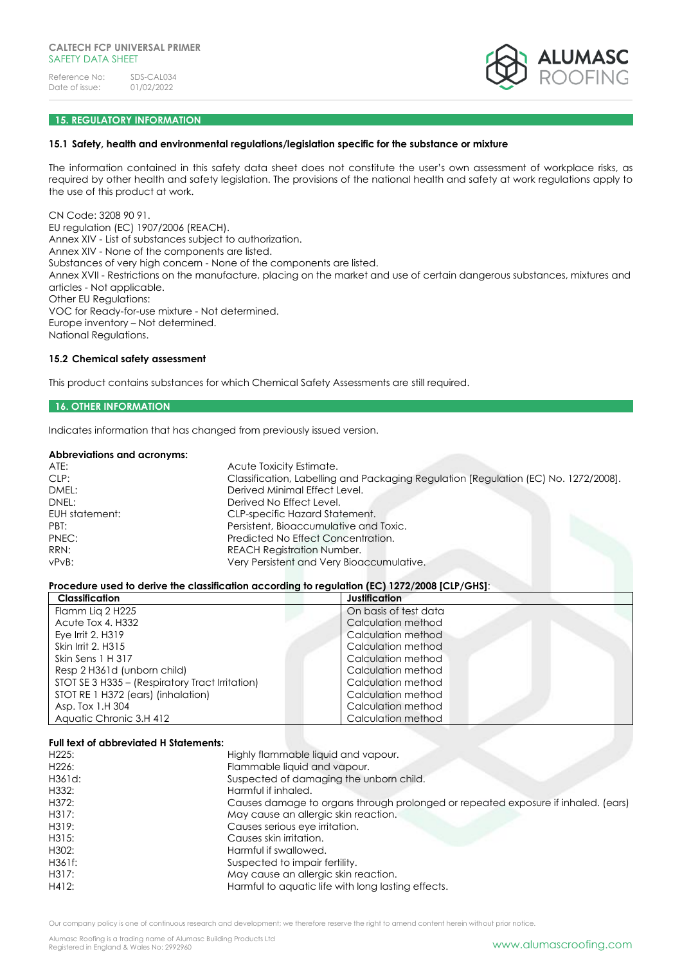

# **15. REGULATORY INFORMATION**

### **15.1 Safety, health and environmental regulations/legislation specific for the substance or mixture**

The information contained in this safety data sheet does not constitute the user's own assessment of workplace risks, as required by other health and safety legislation. The provisions of the national health and safety at work regulations apply to the use of this product at work.

CN Code: 3208 90 91. EU regulation (EC) 1907/2006 (REACH). Annex XIV - List of substances subject to authorization. Annex XIV - None of the components are listed. Substances of very high concern - None of the components are listed. Annex XVII - Restrictions on the manufacture, placing on the market and use of certain dangerous substances, mixtures and articles - Not applicable. Other EU Regulations: VOC for Ready-for-use mixture - Not determined. Europe inventory – Not determined. National Regulations.

# **15.2 Chemical safety assessment**

This product contains substances for which Chemical Safety Assessments are still required.

# **16. OTHER INFORMATION**

Indicates information that has changed from previously issued version.

#### **Abbreviations and acronyms:**

| ATE:           | Acute Toxicity Estimate.                                                            |
|----------------|-------------------------------------------------------------------------------------|
| CLP:           | Classification, Labelling and Packaging Regulation [Regulation (EC) No. 1272/2008]. |
| DMEL:          | Derived Minimal Effect Level.                                                       |
| DNEL:          | Derived No Effect Level.                                                            |
| EUH statement: | CLP-specific Hazard Statement.                                                      |
| PBT:           | Persistent, Bioaccumulative and Toxic.                                              |
| PNEC:          | Predicted No Effect Concentration.                                                  |
| RRN:           | <b>REACH Registration Number.</b>                                                   |
| vPvB:          | Very Persistent and Very Bioaccumulative.                                           |
|                |                                                                                     |

#### **Procedure used to derive the classification according to regulation (EC) 1272/2008 [CLP/GHS]**:

| <b>Classification</b>                           | Justification         |
|-------------------------------------------------|-----------------------|
| Flamm Lig 2 H225                                | On basis of test data |
| Acute Tox 4, H332                               | Calculation method    |
| Eye Irrit $2. H319$                             | Calculation method    |
| Skin Irrit 2, H315                              | Calculation method    |
| Skin Sens 1 H 317                               | Calculation method    |
| Resp 2 H361d (unborn child)                     | Calculation method    |
| STOT SE 3 H335 - (Respiratory Tract Irritation) | Calculation method    |
| STOT RE 1 H372 (ears) (inhalation)              | Calculation method    |
| Asp. Tox 1.H 304                                | Calculation method    |
| Aquatic Chronic 3.H 412                         | Calculation method    |

#### **Full text of abbreviated H Statements:**

| H225:  | Highly flammable liquid and vapour.                                               |
|--------|-----------------------------------------------------------------------------------|
| H226:  | Flammable liquid and vapour.                                                      |
| H361d: | Suspected of damaging the unborn child.                                           |
| H332:  | Harmful if inhaled.                                                               |
| H372:  | Causes damage to organs through prolonged or repeated exposure if inhaled. (ears) |
| H317:  | May cause an allergic skin reaction.                                              |
| H319:  | Causes serious eye irritation.                                                    |
| H315:  | Causes skin irritation.                                                           |
| H302:  | Harmful if swallowed.                                                             |
| H361f: | Suspected to impair fertility.                                                    |
| H317:  | May cause an allergic skin reaction.                                              |
| H412:  | Harmful to aquatic life with long lasting effects.                                |

Our company policy is one of continuous research and development; we therefore reserve the right to amend content herein without prior notice.